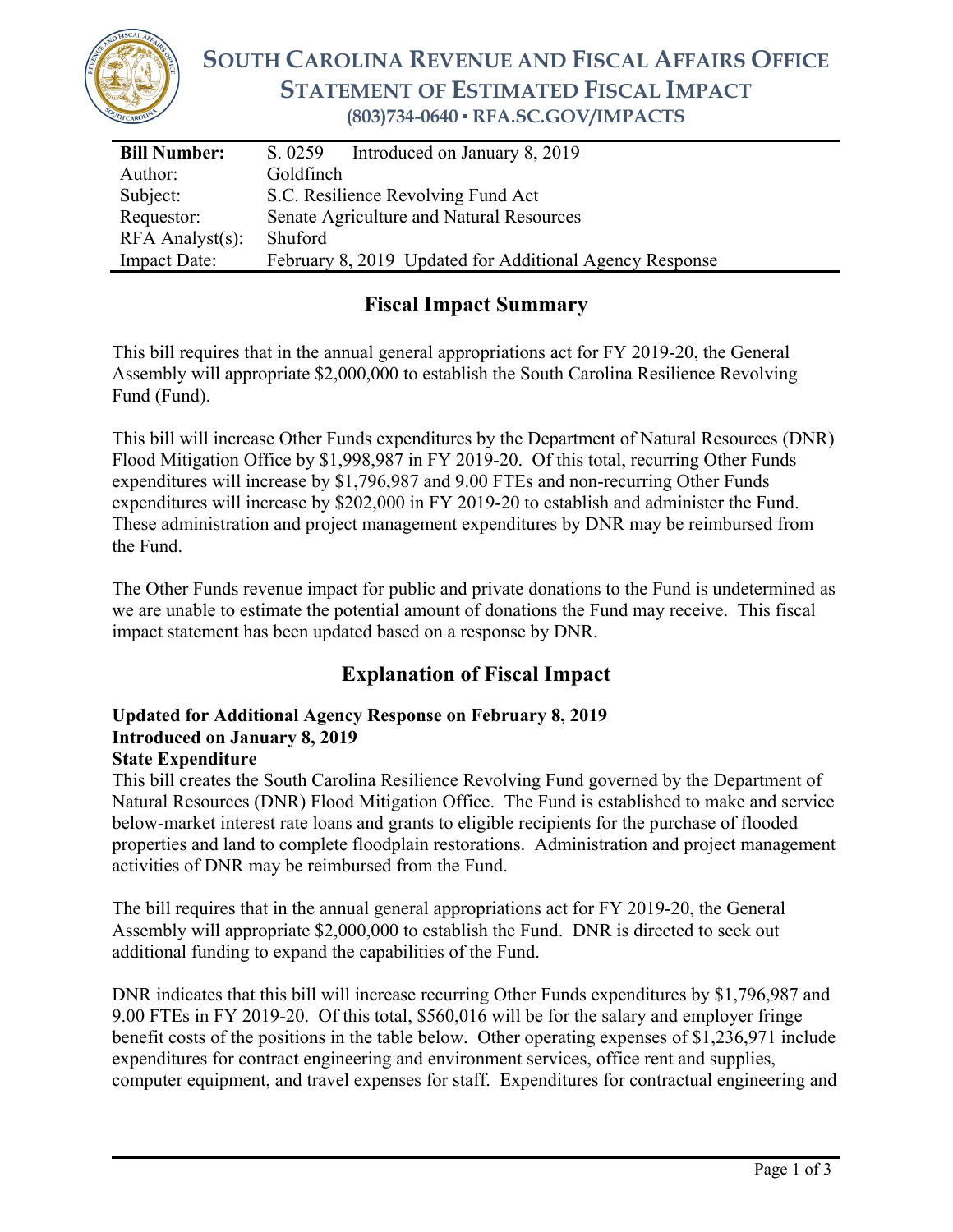

# **SOUTH CAROLINA REVENUE AND FISCAL AFFAIRS OFFICE STATEMENT OF ESTIMATED FISCAL IMPACT (803)734-0640 ▪ RFA.SC.GOV/IMPACTS**

| <b>Bill Number:</b>   | Introduced on January 8, 2019<br>S. 0259                |  |
|-----------------------|---------------------------------------------------------|--|
| Author:               | Goldfinch                                               |  |
| Subject:              | S.C. Resilience Revolving Fund Act                      |  |
| Requestor:            | Senate Agriculture and Natural Resources                |  |
| $RFA$ Analyst $(s)$ : | Shuford                                                 |  |
| <b>Impact Date:</b>   | February 8, 2019 Updated for Additional Agency Response |  |

## **Fiscal Impact Summary**

This bill requires that in the annual general appropriations act for FY 2019-20, the General Assembly will appropriate \$2,000,000 to establish the South Carolina Resilience Revolving Fund (Fund).

This bill will increase Other Funds expenditures by the Department of Natural Resources (DNR) Flood Mitigation Office by \$1,998,987 in FY 2019-20. Of this total, recurring Other Funds expenditures will increase by \$1,796,987 and 9.00 FTEs and non-recurring Other Funds expenditures will increase by \$202,000 in FY 2019-20 to establish and administer the Fund. These administration and project management expenditures by DNR may be reimbursed from the Fund.

The Other Funds revenue impact for public and private donations to the Fund is undetermined as we are unable to estimate the potential amount of donations the Fund may receive. This fiscal impact statement has been updated based on a response by DNR.

## **Explanation of Fiscal Impact**

# **Updated for Additional Agency Response on February 8, 2019 Introduced on January 8, 2019**

**State Expenditure**

This bill creates the South Carolina Resilience Revolving Fund governed by the Department of Natural Resources (DNR) Flood Mitigation Office. The Fund is established to make and service below-market interest rate loans and grants to eligible recipients for the purchase of flooded properties and land to complete floodplain restorations. Administration and project management activities of DNR may be reimbursed from the Fund.

The bill requires that in the annual general appropriations act for FY 2019-20, the General Assembly will appropriate \$2,000,000 to establish the Fund. DNR is directed to seek out additional funding to expand the capabilities of the Fund.

DNR indicates that this bill will increase recurring Other Funds expenditures by \$1,796,987 and 9.00 FTEs in FY 2019-20. Of this total, \$560,016 will be for the salary and employer fringe benefit costs of the positions in the table below. Other operating expenses of \$1,236,971 include expenditures for contract engineering and environment services, office rent and supplies, computer equipment, and travel expenses for staff. Expenditures for contractual engineering and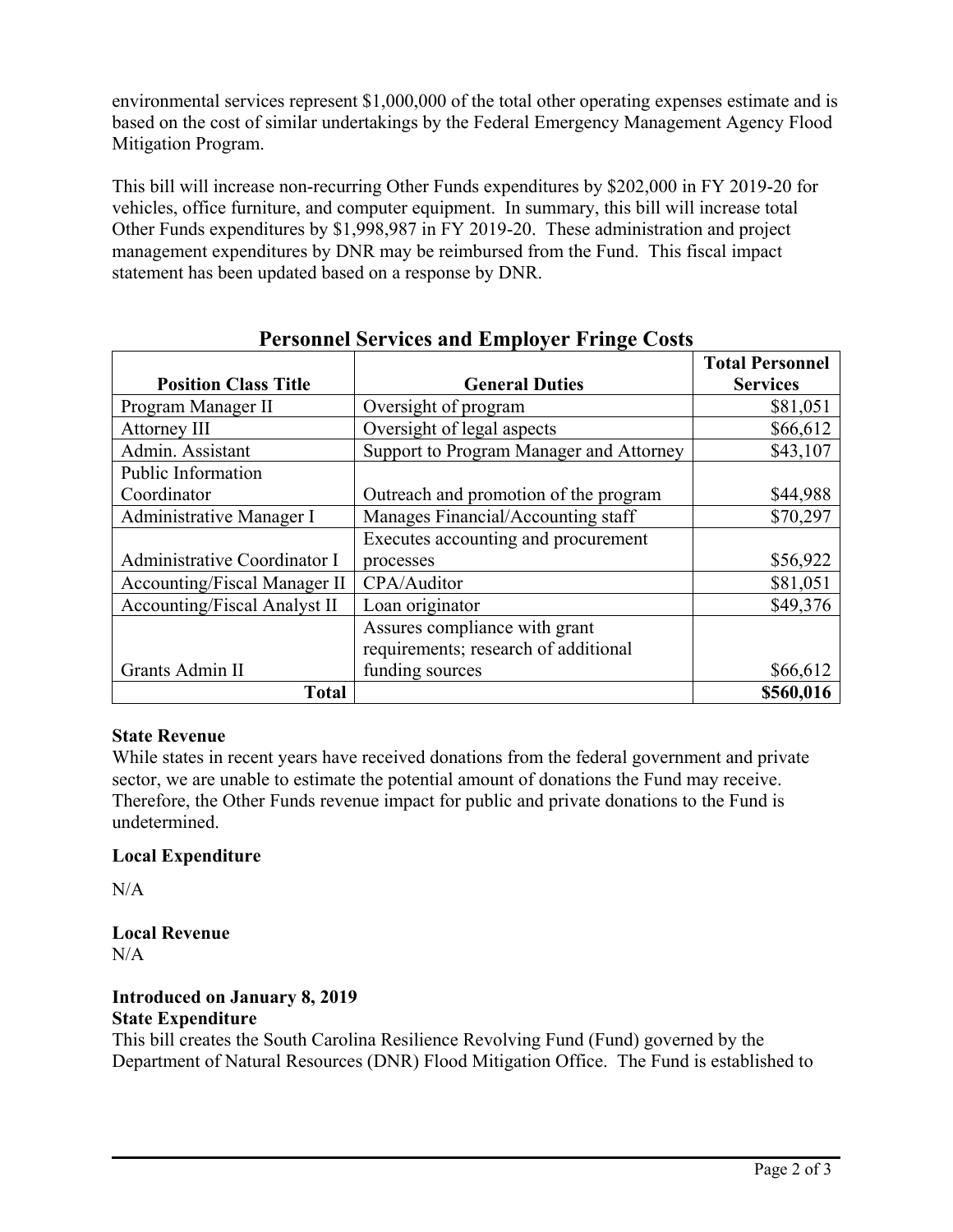environmental services represent \$1,000,000 of the total other operating expenses estimate and is based on the cost of similar undertakings by the Federal Emergency Management Agency Flood Mitigation Program.

This bill will increase non-recurring Other Funds expenditures by \$202,000 in FY 2019-20 for vehicles, office furniture, and computer equipment. In summary, this bill will increase total Other Funds expenditures by \$1,998,987 in FY 2019-20. These administration and project management expenditures by DNR may be reimbursed from the Fund. This fiscal impact statement has been updated based on a response by DNR.

|                                     |                                         | <b>Total Personnel</b> |
|-------------------------------------|-----------------------------------------|------------------------|
| <b>Position Class Title</b>         | <b>General Duties</b>                   | <b>Services</b>        |
| Program Manager II                  | Oversight of program                    | \$81,051               |
| Attorney III                        | Oversight of legal aspects              | \$66,612               |
| Admin. Assistant                    | Support to Program Manager and Attorney | \$43,107               |
| Public Information                  |                                         |                        |
| Coordinator                         | Outreach and promotion of the program   | \$44,988               |
| Administrative Manager I            | Manages Financial/Accounting staff      | \$70,297               |
|                                     | Executes accounting and procurement     |                        |
| Administrative Coordinator I        | processes                               | \$56,922               |
| <b>Accounting/Fiscal Manager II</b> | CPA/Auditor                             | \$81,051               |
| <b>Accounting/Fiscal Analyst II</b> | Loan originator                         | \$49,376               |
|                                     | Assures compliance with grant           |                        |
|                                     | requirements; research of additional    |                        |
| Grants Admin II                     | funding sources                         | \$66,612               |
| <b>Total</b>                        |                                         | \$560,016              |

## **Personnel Services and Employer Fringe Costs**

## **State Revenue**

While states in recent years have received donations from the federal government and private sector, we are unable to estimate the potential amount of donations the Fund may receive. Therefore, the Other Funds revenue impact for public and private donations to the Fund is undetermined.

## **Local Expenditure**

N/A

**Local Revenue**  $N/A$ 

### **Introduced on January 8, 2019 State Expenditure**

This bill creates the South Carolina Resilience Revolving Fund (Fund) governed by the Department of Natural Resources (DNR) Flood Mitigation Office. The Fund is established to